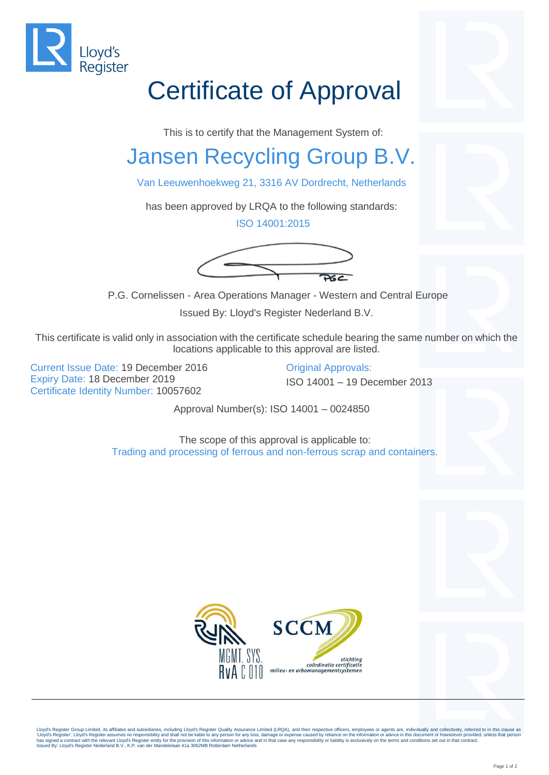

## Certificate of Approval

This is to certify that the Management System of:

## Jansen Recycling Group B.V.

Van Leeuwenhoekweg 21, 3316 AV Dordrecht, Netherlands

has been approved by LRQA to the following standards:

ISO 14001:2015



P.G. Cornelissen - Area Operations Manager - Western and Central Europe

Issued By: Lloyd's Register Nederland B.V.

This certificate is valid only in association with the certificate schedule bearing the same number on which the locations applicable to this approval are listed.

Current Issue Date: 19 December 2016 Original Approvals: Expiry Date: 18 December 2019 **ISO 14001** – 19 December 2013 Certificate Identity Number: 10057602

Approval Number(s): ISO 14001 – 0024850

The scope of this approval is applicable to: Trading and processing of ferrous and non-ferrous scrap and containers.



Lloyd's Register Group Limited, its affiliates and subsidiaries, including Lloyd's Register Quality Assurance Limited (LRQA), and their respective officers, employees or agents are, individually and collectively, referred